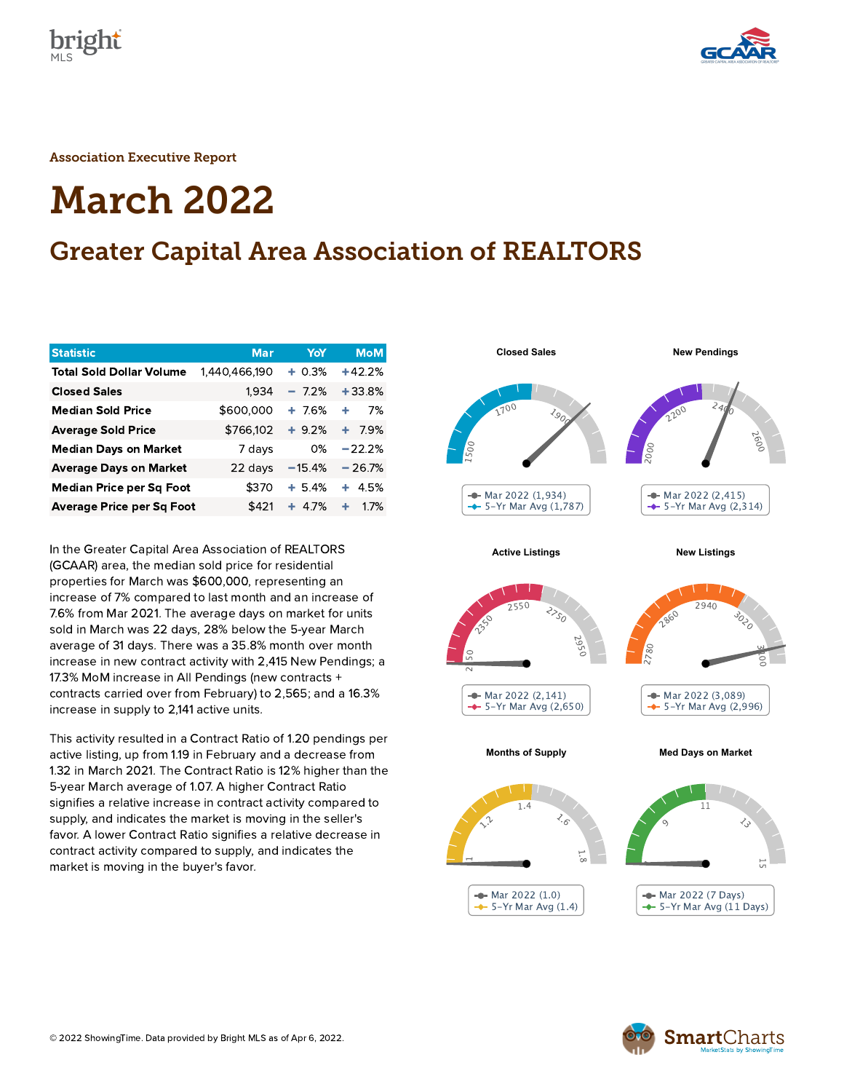



Association Executive Report

# March 2022

# Greater Capital Area Association of REALTORS

| <b>Statistic</b>                 | <b>Mar</b>    | YoY      | <b>MoM</b> |
|----------------------------------|---------------|----------|------------|
| <b>Total Sold Dollar Volume</b>  | 1,440,466,190 | $+0.3%$  | $+42.2%$   |
| <b>Closed Sales</b>              | 1,934         | $-7.2%$  | $+33.8%$   |
| <b>Median Sold Price</b>         | \$600,000     | $+7.6%$  | 7%<br>÷    |
| <b>Average Sold Price</b>        | \$766,102     | $+9.2%$  | 7.9%<br>٠  |
| <b>Median Days on Market</b>     | 7 days        | 0%       | $-22.2%$   |
| <b>Average Days on Market</b>    | 22 days       | $-15.4%$ | $-26.7%$   |
| <b>Median Price per Sq Foot</b>  | \$370         | $+5.4%$  | 4.5%<br>÷. |
| <b>Average Price per Sq Foot</b> | \$421         | $+ 4.7%$ | ٠<br>1.7%  |

In the Greater Capital Area Association of REALTORS (GCAAR) area, the median sold price for residential properties for March was \$600,000, representing an increase of 7% compared to last month and an increase of 7.6% from Mar 2021. The average days on market for units sold in March was 22 days, 28% below the 5-year March average of 31 days. There was a 35.8% month over month increase in new contract activity with 2,415 New Pendings; a 17.3% MoM increase in All Pendings (new contracts + contracts carried over from February) to 2,565; and a 16.3% increase in supply to 2,141 active units.

This activity resulted in a Contract Ratio of 1.20 pendings per active listing, up from 1.19 in February and a decrease from 1.32 in March 2021. The Contract Ratio is 12% higher than the 5-year March average of 1.07. A higher Contract Ratio signifies a relative increase in contract activity compared to supply, and indicates the market is moving in the seller's favor. A lower Contract Ratio signifies a relative decrease in contract activity compared to supply, and indicates the market is moving in the buyer's favor.



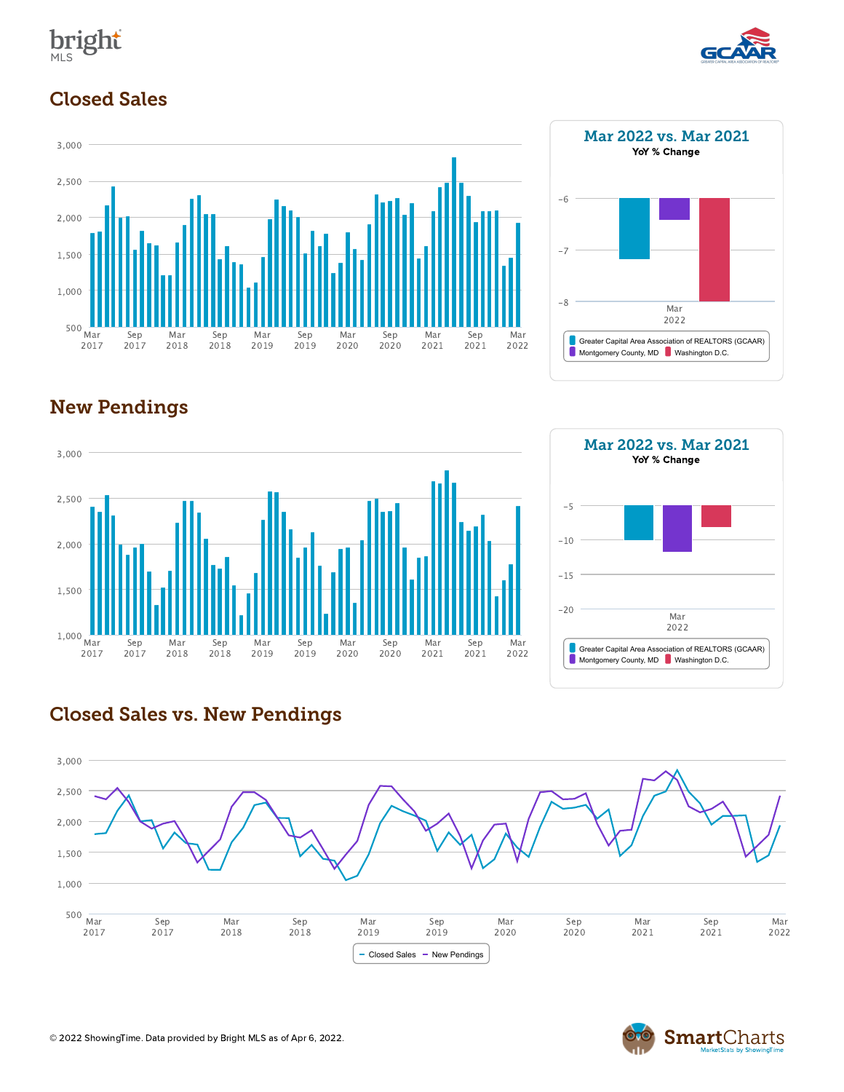



#### Closed Sales





## New Pendings





#### Closed Sales vs. New Pendings



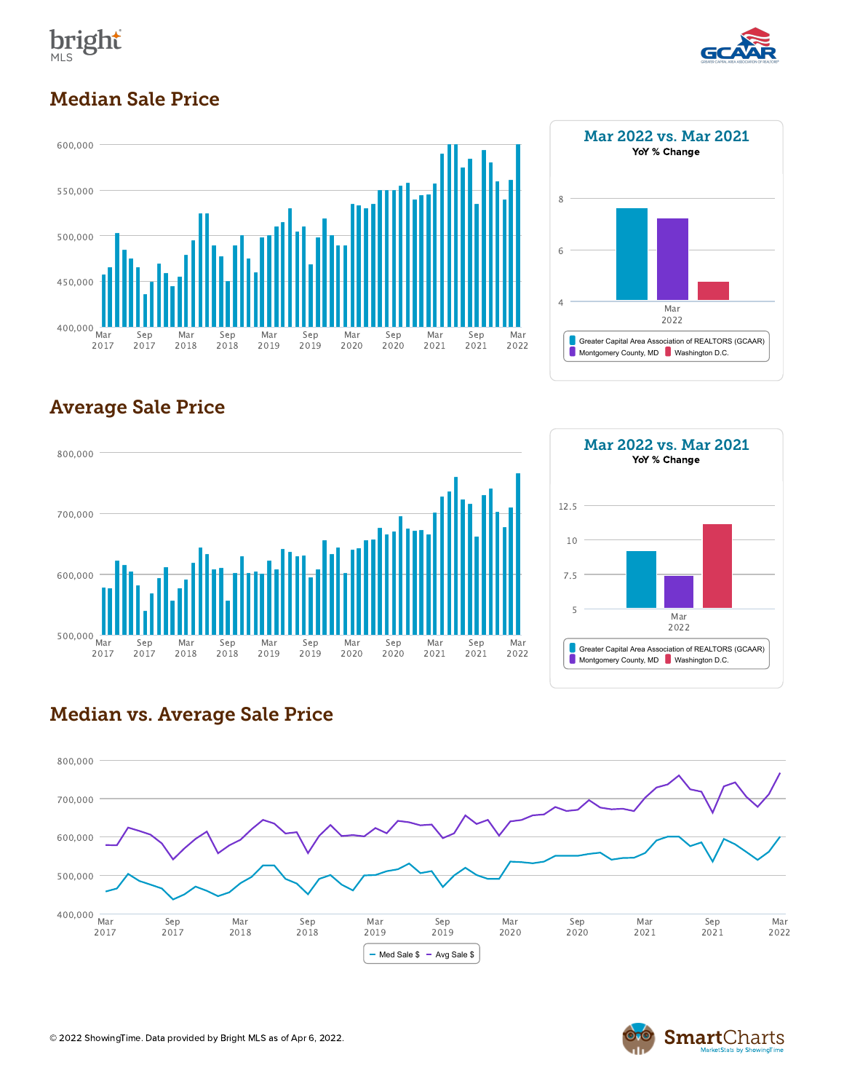



#### Median Sale Price





## Average Sale Price





#### Median vs. Average Sale Price